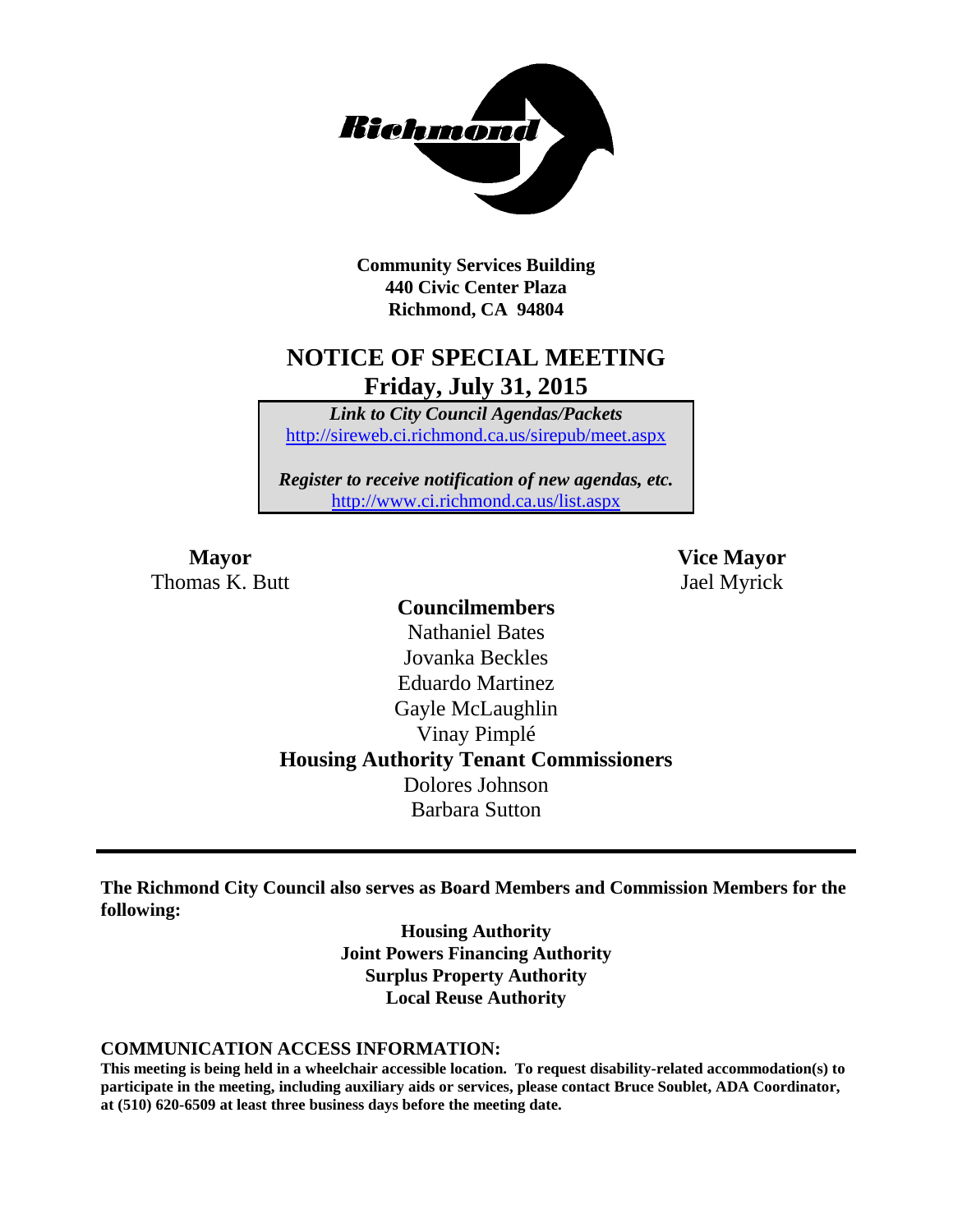

**Community Services Building 440 Civic Center Plaza Richmond, CA 94804**

## **NOTICE OF SPECIAL MEETING Friday, July 31, 2015**

*Link to City Council Agendas/Packets* <http://sireweb.ci.richmond.ca.us/sirepub/meet.aspx>

*Register to receive notification of new agendas, etc.* <http://www.ci.richmond.ca.us/list.aspx>

Thomas K. Butt Jael Myrick

**Mayor Vice Mayor**

### **Councilmembers** Nathaniel Bates Jovanka Beckles Eduardo Martinez Gayle McLaughlin Vinay Pimplé **Housing Authority Tenant Commissioners** Dolores Johnson Barbara Sutton

**The Richmond City Council also serves as Board Members and Commission Members for the following:**

> **Housing Authority Joint Powers Financing Authority Surplus Property Authority Local Reuse Authority**

#### **COMMUNICATION ACCESS INFORMATION:**

**This meeting is being held in a wheelchair accessible location. To request disability-related accommodation(s) to participate in the meeting, including auxiliary aids or services, please contact Bruce Soublet, ADA Coordinator, at (510) 620-6509 at least three business days before the meeting date.**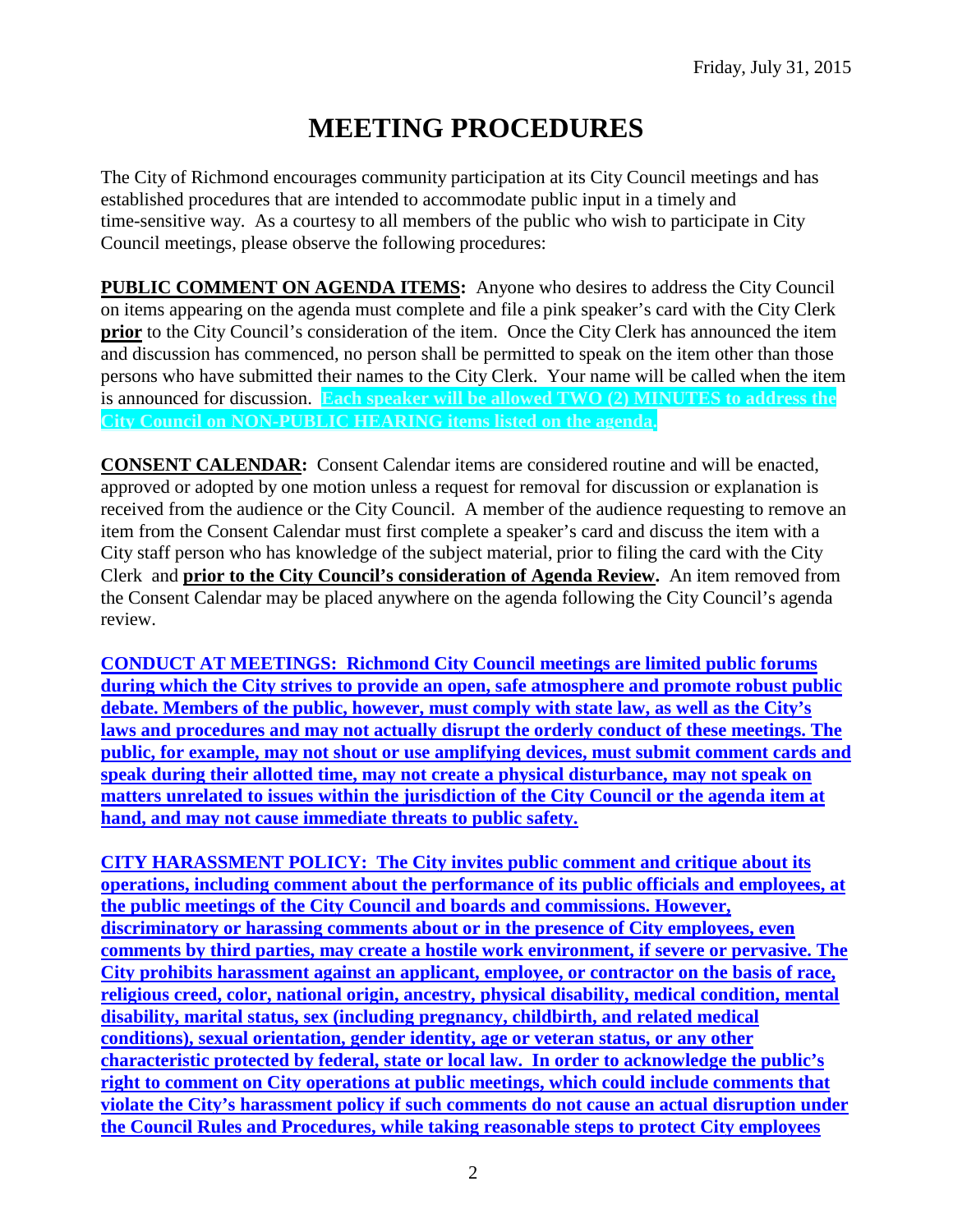# **MEETING PROCEDURES**

The City of Richmond encourages community participation at its City Council meetings and has established procedures that are intended to accommodate public input in a timely and time-sensitive way. As a courtesy to all members of the public who wish to participate in City Council meetings, please observe the following procedures:

**PUBLIC COMMENT ON AGENDA ITEMS:** Anyone who desires to address the City Council on items appearing on the agenda must complete and file a pink speaker's card with the City Clerk **prior** to the City Council's consideration of the item. Once the City Clerk has announced the item and discussion has commenced, no person shall be permitted to speak on the item other than those persons who have submitted their names to the City Clerk. Your name will be called when the item is announced for discussion. **Each speaker will be allowed TWO (2) MINUTES to address the City Council on NON-PUBLIC HEARING items listed on the agenda.**

**CONSENT CALENDAR:** Consent Calendar items are considered routine and will be enacted, approved or adopted by one motion unless a request for removal for discussion or explanation is received from the audience or the City Council. A member of the audience requesting to remove an item from the Consent Calendar must first complete a speaker's card and discuss the item with a City staff person who has knowledge of the subject material, prior to filing the card with the City Clerk and **prior to the City Council's consideration of Agenda Review.** An item removed from the Consent Calendar may be placed anywhere on the agenda following the City Council's agenda review.

**CONDUCT AT MEETINGS: Richmond City Council meetings are limited public forums during which the City strives to provide an open, safe atmosphere and promote robust public debate. Members of the public, however, must comply with state law, as well as the City's laws and procedures and may not actually disrupt the orderly conduct of these meetings. The public, for example, may not shout or use amplifying devices, must submit comment cards and speak during their allotted time, may not create a physical disturbance, may not speak on matters unrelated to issues within the jurisdiction of the City Council or the agenda item at hand, and may not cause immediate threats to public safety.** 

**CITY HARASSMENT POLICY: The City invites public comment and critique about its operations, including comment about the performance of its public officials and employees, at the public meetings of the City Council and boards and commissions. However, discriminatory or harassing comments about or in the presence of City employees, even comments by third parties, may create a hostile work environment, if severe or pervasive. The City prohibits harassment against an applicant, employee, or contractor on the basis of race, religious creed, color, national origin, ancestry, physical disability, medical condition, mental disability, marital status, sex (including pregnancy, childbirth, and related medical conditions), sexual orientation, gender identity, age or veteran status, or any other characteristic protected by federal, state or local law. In order to acknowledge the public's right to comment on City operations at public meetings, which could include comments that violate the City's harassment policy if such comments do not cause an actual disruption under the Council Rules and Procedures, while taking reasonable steps to protect City employees**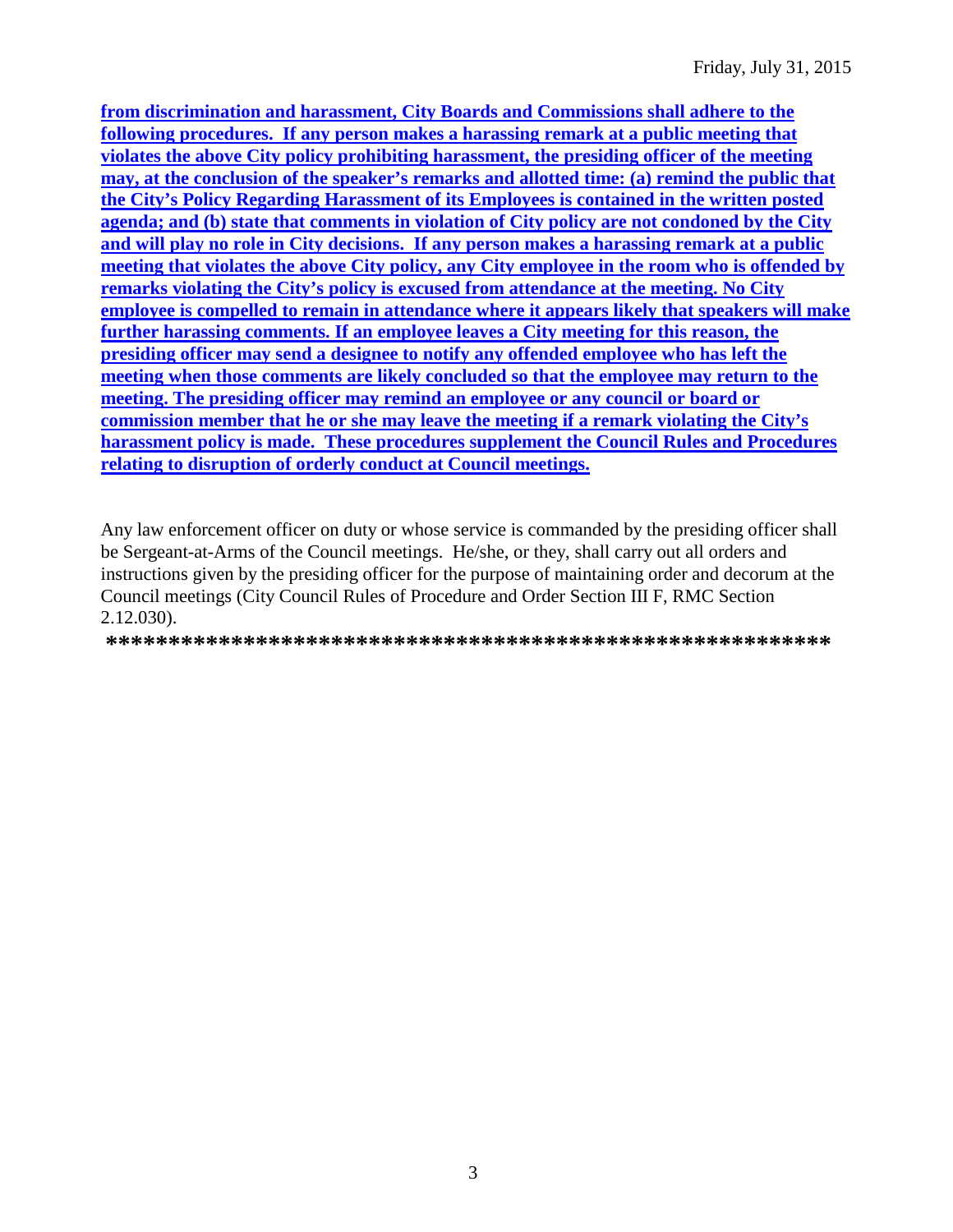from discrimination and harassment, City Boards and Commissions shall adhere to the following procedures. If any person makes a harassing remark at a public meeting that violates the above City policy prohibiting harassment, the presiding officer of the meeting may, at the conclusion of the speaker's remarks and allotted time: (a) remind the public that the City's Policy Regarding Harassment of its Employees is contained in the written posted agenda; and (b) state that comments in violation of City policy are not condoned by the City and will play no role in City decisions. If any person makes a harassing remark at a public meeting that violates the above City policy, any City employee in the room who is offended by remarks violating the City's policy is excused from attendance at the meeting. No City employee is compelled to remain in attendance where it appears likely that speakers will make further harassing comments. If an employee leaves a City meeting for this reason, the presiding officer may send a designee to notify any offended employee who has left the meeting when those comments are likely concluded so that the employee may return to the meeting. The presiding officer may remind an employee or any council or board or commission member that he or she may leave the meeting if a remark violating the City's harassment policy is made. These procedures supplement the Council Rules and Procedures relating to disruption of orderly conduct at Council meetings.

Any law enforcement officer on duty or whose service is commanded by the presiding officer shall be Sergeant-at-Arms of the Council meetings. He/she, or they, shall carry out all orders and instructions given by the presiding officer for the purpose of maintaining order and decorum at the Council meetings (City Council Rules of Procedure and Order Section III F, RMC Section  $2.12.030$ .